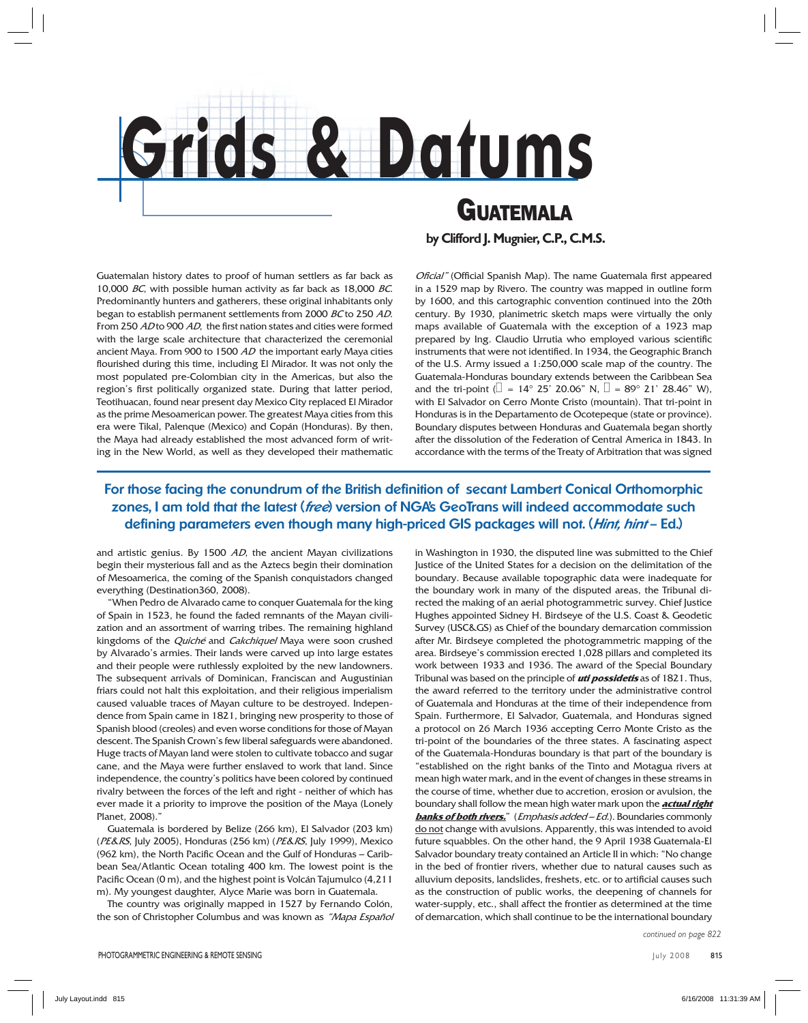

## *GUATEMALA*

**by Clifford J. Mugnier, C.P., C.M.S.**

Guatemalan history dates to proof of human settlers as far back as 10,000 BC, with possible human activity as far back as 18,000 BC. Predominantly hunters and gatherers, these original inhabitants only began to establish permanent settlements from 2000 BC to 250 AD. From 250 AD to 900 AD, the first nation states and cities were formed with the large scale architecture that characterized the ceremonial ancient Maya. From 900 to 1500 AD the important early Maya cities flourished during this time, including El Mirador. It was not only the most populated pre-Colombian city in the Americas, but also the region's first politically organized state. During that latter period, Teotihuacan, found near present day Mexico City replaced El Mirador as the prime Mesoamerican power. The greatest Maya cities from this era were Tikal, Palenque (Mexico) and Copán (Honduras). By then, the Maya had already established the most advanced form of writing in the New World, as well as they developed their mathematic Oficial" (Official Spanish Map). The name Guatemala first appeared in a 1529 map by Rivero. The country was mapped in outline form by 1600, and this cartographic convention continued into the 20th century. By 1930, planimetric sketch maps were virtually the only maps available of Guatemala with the exception of a 1923 map prepared by Ing. Claudio Urrutia who employed various scientific instruments that were not identified. In 1934, the Geographic Branch of the U.S. Army issued a 1:250,000 scale map of the country. The Guatemala-Honduras boundary extends between the Caribbean Sea and the tri-point ( $\Box$  = 14° 25' 20.06" N,  $\Box$  = 89° 21' 28.46" W), with El Salvador on Cerro Monte Cristo (mountain). That tri-point in Honduras is in the Departamento de Ocotepeque (state or province). Boundary disputes between Honduras and Guatemala began shortly after the dissolution of the Federation of Central America in 1843. In accordance with the terms of the Treaty of Arbitration that was signed

## For those facing the conundrum of the British definition of secant Lambert Conical Orthomorphic **zones, I am told that the latest (free) version of NGA's GeoTrans will indeed accommodate such defi ning parameters even though many high-priced GIS packages will not. (Hint, hint – Ed.)**

and artistic genius. By 1500 AD, the ancient Mayan civilizations begin their mysterious fall and as the Aztecs begin their domination of Mesoamerica, the coming of the Spanish conquistadors changed everything (Destination360, 2008).

"When Pedro de Alvarado came to conquer Guatemala for the king of Spain in 1523, he found the faded remnants of the Mayan civilization and an assortment of warring tribes. The remaining highland kingdoms of the *Quiché* and *Cakchiquel* Maya were soon crushed by Alvarado's armies. Their lands were carved up into large estates and their people were ruthlessly exploited by the new landowners. The subsequent arrivals of Dominican, Franciscan and Augustinian friars could not halt this exploitation, and their religious imperialism caused valuable traces of Mayan culture to be destroyed. Independence from Spain came in 1821, bringing new prosperity to those of Spanish blood (creoles) and even worse conditions for those of Mayan descent. The Spanish Crown's few liberal safeguards were abandoned. Huge tracts of Mayan land were stolen to cultivate tobacco and sugar cane, and the Maya were further enslaved to work that land. Since independence, the country's politics have been colored by continued rivalry between the forces of the left and right - neither of which has ever made it a priority to improve the position of the Maya (Lonely Planet, 2008)."

Guatemala is bordered by Belize (266 km), El Salvador (203 km) (PE&RS, July 2005), Honduras (256 km) (PE&RS, July 1999), Mexico (962 km), the North Pacific Ocean and the Gulf of Honduras - Caribbean Sea/Atlantic Ocean totaling 400 km. The lowest point is the Pacific Ocean (0 m), and the highest point is Volcán Tajumulco (4,211 m). My youngest daughter, Alyce Marie was born in Guatemala.

The country was originally mapped in 1527 by Fernando Colón, the son of Christopher Columbus and was known as "Mapa Español"

in Washington in 1930, the disputed line was submitted to the Chief Justice of the United States for a decision on the delimitation of the boundary. Because available topographic data were inadequate for the boundary work in many of the disputed areas, the Tribunal directed the making of an aerial photogrammetric survey. Chief Justice Hughes appointed Sidney H. Birdseye of the U.S. Coast & Geodetic Survey (USC&GS) as Chief of the boundary demarcation commission after Mr. Birdseye completed the photogrammetric mapping of the area. Birdseye's commission erected 1,028 pillars and completed its work between 1933 and 1936. The award of the Special Boundary Tribunal was based on the principle of **uti possidetis** as of 1821. Thus, the award referred to the territory under the administrative control of Guatemala and Honduras at the time of their independence from Spain. Furthermore, El Salvador, Guatemala, and Honduras signed a protocol on 26 March 1936 accepting Cerro Monte Cristo as the tri-point of the boundaries of the three states. A fascinating aspect of the Guatemala-Honduras boundary is that part of the boundary is "established on the right banks of the Tinto and Motagua rivers at mean high water mark, and in the event of changes in these streams in the course of time, whether due to accretion, erosion or avulsion, the boundary shall follow the mean high water mark upon the **actual right banks of both rivers.**" (Emphasis added – Ed.). Boundaries commonly do not change with avulsions. Apparently, this was intended to avoid future squabbles. On the other hand, the 9 April 1938 Guatemala-El Salvador boundary treaty contained an Article II in which: "No change in the bed of frontier rivers, whether due to natural causes such as alluvium deposits, landslides, freshets, etc. or to artificial causes such as the construction of public works, the deepening of channels for water-supply, etc., shall affect the frontier as determined at the time of demarcation, which shall continue to be the international boundary